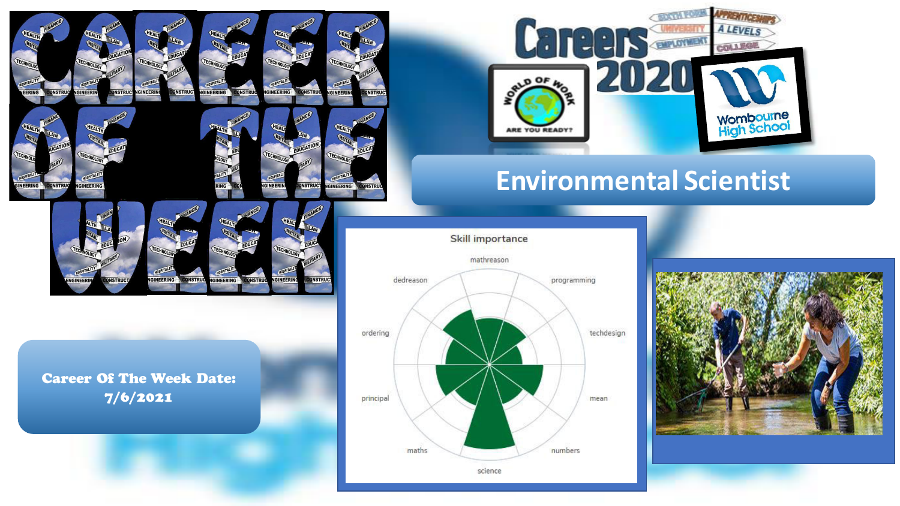

**SINEERING** 

**INSTRU** 

Career Of The Week Date: 7/6/2021

**DNSTRUG** 



# **Environmental Scientist**



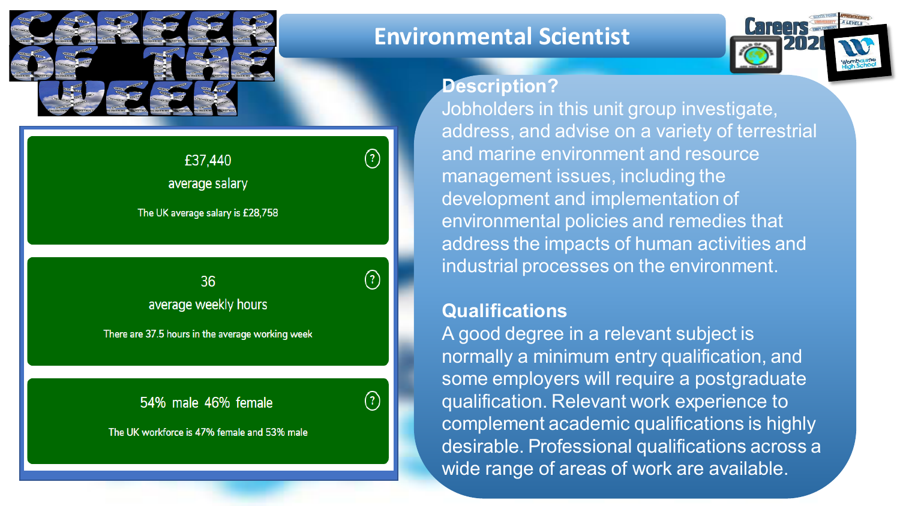

### **Environmental Scientist**



### **Description?**

Jobholders in this unit group investigate, address, and advise on a variety of terrestrial and marine environment and resource management issues, including the development and implementation of environmental policies and remedies that address the impacts of human activities and industrial processes on the environment.

### **Qualifications**

A good degree in a relevant subject is normally a minimum entry qualification, and some employers will require a postgraduate qualification. Relevant work experience to complement academic qualifications is highly desirable. Professional qualifications across a wide range of areas of work are available.

36 average weekly hours

£37,440

average salary

The UK average salary is £28,758

There are 37.5 hours in the average working week

54% male 46% female

 $\odot$ 

 $\left( 2\right)$ 

 $\left( 7\right)$ 

The UK workforce is 47% female and 53% male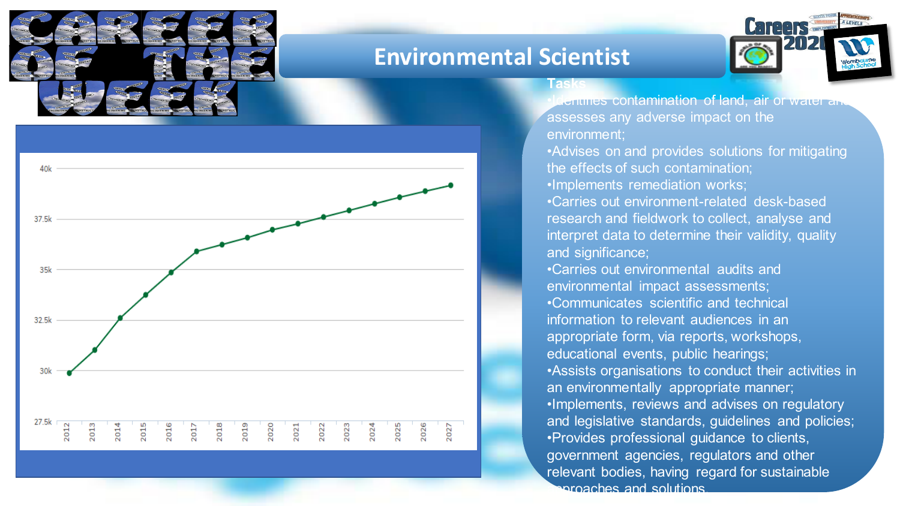

### **Environmental Scientist**



#### **Tasks**

Ldentifies contamination of land, air or water and assesses any adverse impact on the environment;

•Advises on and provides solutions for mitigating the effects of such contamination;

•Implements remediation works;

•Carries out environment-related desk-based research and fieldwork to collect, analyse and interpret data to determine their validity, quality and significance;

•Carries out environmental audits and environmental impact assessments; •Communicates scientific and technical information to relevant audiences in an appropriate form, via reports, workshops, educational events, public hearings; •Assists organisations to conduct their activities in an environmentally appropriate manner; •Implements, reviews and advises on regulatory and legislative standards, guidelines and policies; •Provides professional guidance to clients, government agencies, regulators and other relevant bodies, having regard for sustainable approaches and solutions.